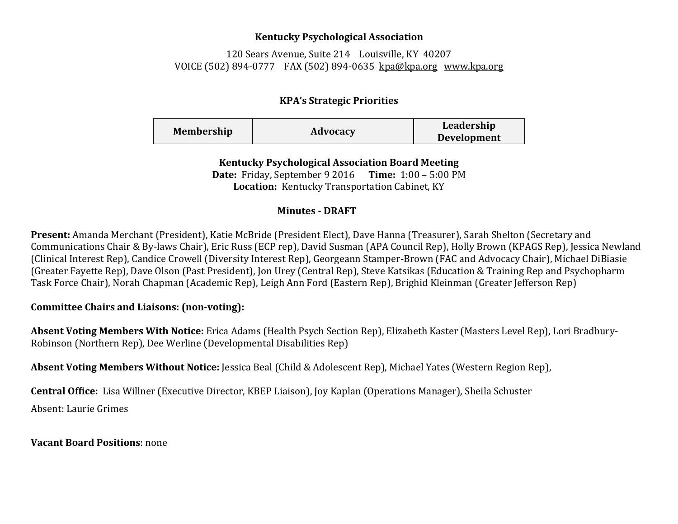## **Kentucky Psychological Association**

120 Sears Avenue, Suite 214 Louisville, KY 40207 VOICE (502) 894-0777 FAX (502) 894-0635 [kpa@kpa.org](mailto:kpa@kih.net) [www.kpa.org](http://www.kpa.org/)

## **KPA's Strategic Priorities**

| <b>Membership</b> | Advocacy | Leadership         |
|-------------------|----------|--------------------|
|                   |          | <b>Development</b> |

**Kentucky Psychological Association Board Meeting Date:** Friday, September 9 2016 **Time:** 1:00 – 5:00 PM **Location:** Kentucky Transportation Cabinet, KY

## **Minutes - DRAFT**

**Present:** Amanda Merchant (President), Katie McBride (President Elect), Dave Hanna (Treasurer), Sarah Shelton (Secretary and Communications Chair & By-laws Chair), Eric Russ (ECP rep), David Susman (APA Council Rep), Holly Brown (KPAGS Rep), Jessica Newland (Clinical Interest Rep), Candice Crowell (Diversity Interest Rep), Georgeann Stamper-Brown (FAC and Advocacy Chair), Michael DiBiasie (Greater Fayette Rep), Dave Olson (Past President), Jon Urey (Central Rep), Steve Katsikas (Education & Training Rep and Psychopharm Task Force Chair), Norah Chapman (Academic Rep), Leigh Ann Ford (Eastern Rep), Brighid Kleinman (Greater Jefferson Rep)

## **Committee Chairs and Liaisons: (non-voting):**

**Absent Voting Members With Notice:** Erica Adams (Health Psych Section Rep), Elizabeth Kaster (Masters Level Rep), Lori Bradbury-Robinson (Northern Rep), Dee Werline (Developmental Disabilities Rep)

**Absent Voting Members Without Notice:** Jessica Beal (Child & Adolescent Rep), Michael Yates (Western Region Rep),

**Central Office:** Lisa Willner (Executive Director, KBEP Liaison), Joy Kaplan (Operations Manager), Sheila Schuster Absent: Laurie Grimes

**Vacant Board Positions**: none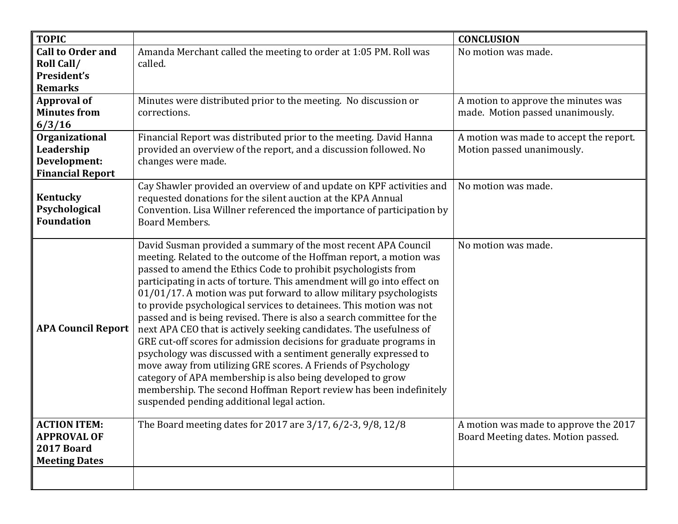| <b>TOPIC</b>                                                                    |                                                                                                                                                                                                                                                                                                                                                                                                                                                                                                                                                                                                                                                                                                                                                                                                                                                                                                                                                                              | <b>CONCLUSION</b>                                                            |
|---------------------------------------------------------------------------------|------------------------------------------------------------------------------------------------------------------------------------------------------------------------------------------------------------------------------------------------------------------------------------------------------------------------------------------------------------------------------------------------------------------------------------------------------------------------------------------------------------------------------------------------------------------------------------------------------------------------------------------------------------------------------------------------------------------------------------------------------------------------------------------------------------------------------------------------------------------------------------------------------------------------------------------------------------------------------|------------------------------------------------------------------------------|
| <b>Call to Order and</b><br>Roll Call/<br>President's<br><b>Remarks</b>         | Amanda Merchant called the meeting to order at 1:05 PM. Roll was<br>called.                                                                                                                                                                                                                                                                                                                                                                                                                                                                                                                                                                                                                                                                                                                                                                                                                                                                                                  | No motion was made.                                                          |
| <b>Approval of</b><br><b>Minutes from</b><br>6/3/16                             | Minutes were distributed prior to the meeting. No discussion or<br>corrections.                                                                                                                                                                                                                                                                                                                                                                                                                                                                                                                                                                                                                                                                                                                                                                                                                                                                                              | A motion to approve the minutes was<br>made. Motion passed unanimously.      |
| Organizational<br>Leadership<br>Development:<br><b>Financial Report</b>         | Financial Report was distributed prior to the meeting. David Hanna<br>provided an overview of the report, and a discussion followed. No<br>changes were made.                                                                                                                                                                                                                                                                                                                                                                                                                                                                                                                                                                                                                                                                                                                                                                                                                | A motion was made to accept the report.<br>Motion passed unanimously.        |
| <b>Kentucky</b><br>Psychological<br><b>Foundation</b>                           | Cay Shawler provided an overview of and update on KPF activities and<br>requested donations for the silent auction at the KPA Annual<br>Convention. Lisa Willner referenced the importance of participation by<br>Board Members.                                                                                                                                                                                                                                                                                                                                                                                                                                                                                                                                                                                                                                                                                                                                             | No motion was made.                                                          |
| <b>APA Council Report</b>                                                       | David Susman provided a summary of the most recent APA Council<br>meeting. Related to the outcome of the Hoffman report, a motion was<br>passed to amend the Ethics Code to prohibit psychologists from<br>participating in acts of torture. This amendment will go into effect on<br>01/01/17. A motion was put forward to allow military psychologists<br>to provide psychological services to detainees. This motion was not<br>passed and is being revised. There is also a search committee for the<br>next APA CEO that is actively seeking candidates. The usefulness of<br>GRE cut-off scores for admission decisions for graduate programs in<br>psychology was discussed with a sentiment generally expressed to<br>move away from utilizing GRE scores. A Friends of Psychology<br>category of APA membership is also being developed to grow<br>membership. The second Hoffman Report review has been indefinitely<br>suspended pending additional legal action. | No motion was made.                                                          |
| <b>ACTION ITEM:</b><br><b>APPROVAL OF</b><br>2017 Board<br><b>Meeting Dates</b> | The Board meeting dates for 2017 are 3/17, 6/2-3, 9/8, 12/8                                                                                                                                                                                                                                                                                                                                                                                                                                                                                                                                                                                                                                                                                                                                                                                                                                                                                                                  | A motion was made to approve the 2017<br>Board Meeting dates. Motion passed. |
|                                                                                 |                                                                                                                                                                                                                                                                                                                                                                                                                                                                                                                                                                                                                                                                                                                                                                                                                                                                                                                                                                              |                                                                              |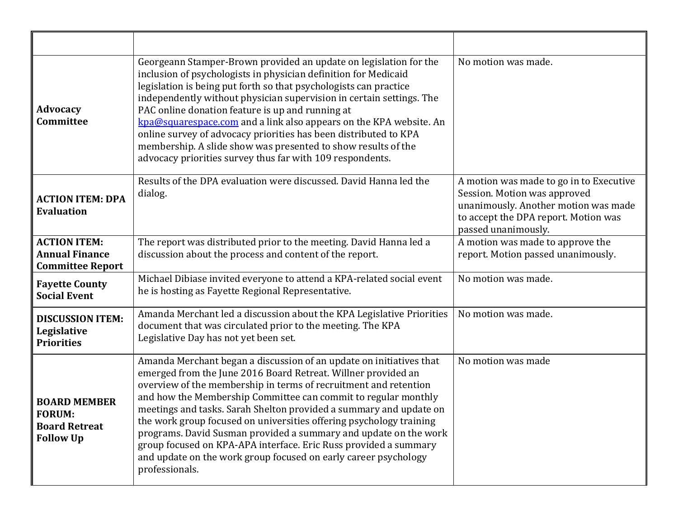| <b>Advocacy</b><br><b>Committee</b>                                              | Georgeann Stamper-Brown provided an update on legislation for the<br>inclusion of psychologists in physician definition for Medicaid<br>legislation is being put forth so that psychologists can practice<br>independently without physician supervision in certain settings. The<br>PAC online donation feature is up and running at<br>kpa@squarespace.com and a link also appears on the KPA website. An<br>online survey of advocacy priorities has been distributed to KPA<br>membership. A slide show was presented to show results of the<br>advocacy priorities survey thus far with 109 respondents.                                        | No motion was made.                                                                                                                                                            |
|----------------------------------------------------------------------------------|------------------------------------------------------------------------------------------------------------------------------------------------------------------------------------------------------------------------------------------------------------------------------------------------------------------------------------------------------------------------------------------------------------------------------------------------------------------------------------------------------------------------------------------------------------------------------------------------------------------------------------------------------|--------------------------------------------------------------------------------------------------------------------------------------------------------------------------------|
| <b>ACTION ITEM: DPA</b><br><b>Evaluation</b>                                     | Results of the DPA evaluation were discussed. David Hanna led the<br>dialog.                                                                                                                                                                                                                                                                                                                                                                                                                                                                                                                                                                         | A motion was made to go in to Executive<br>Session. Motion was approved<br>unanimously. Another motion was made<br>to accept the DPA report. Motion was<br>passed unanimously. |
| <b>ACTION ITEM:</b><br><b>Annual Finance</b><br><b>Committee Report</b>          | The report was distributed prior to the meeting. David Hanna led a<br>discussion about the process and content of the report.                                                                                                                                                                                                                                                                                                                                                                                                                                                                                                                        | A motion was made to approve the<br>report. Motion passed unanimously.                                                                                                         |
| <b>Fayette County</b><br><b>Social Event</b>                                     | Michael Dibiase invited everyone to attend a KPA-related social event<br>he is hosting as Fayette Regional Representative.                                                                                                                                                                                                                                                                                                                                                                                                                                                                                                                           | No motion was made.                                                                                                                                                            |
| <b>DISCUSSION ITEM:</b><br>Legislative<br><b>Priorities</b>                      | Amanda Merchant led a discussion about the KPA Legislative Priorities<br>document that was circulated prior to the meeting. The KPA<br>Legislative Day has not yet been set.                                                                                                                                                                                                                                                                                                                                                                                                                                                                         | No motion was made.                                                                                                                                                            |
| <b>BOARD MEMBER</b><br><b>FORUM:</b><br><b>Board Retreat</b><br><b>Follow Up</b> | Amanda Merchant began a discussion of an update on initiatives that<br>emerged from the June 2016 Board Retreat. Willner provided an<br>overview of the membership in terms of recruitment and retention<br>and how the Membership Committee can commit to regular monthly<br>meetings and tasks. Sarah Shelton provided a summary and update on<br>the work group focused on universities offering psychology training<br>programs. David Susman provided a summary and update on the work<br>group focused on KPA-APA interface. Eric Russ provided a summary<br>and update on the work group focused on early career psychology<br>professionals. | No motion was made                                                                                                                                                             |